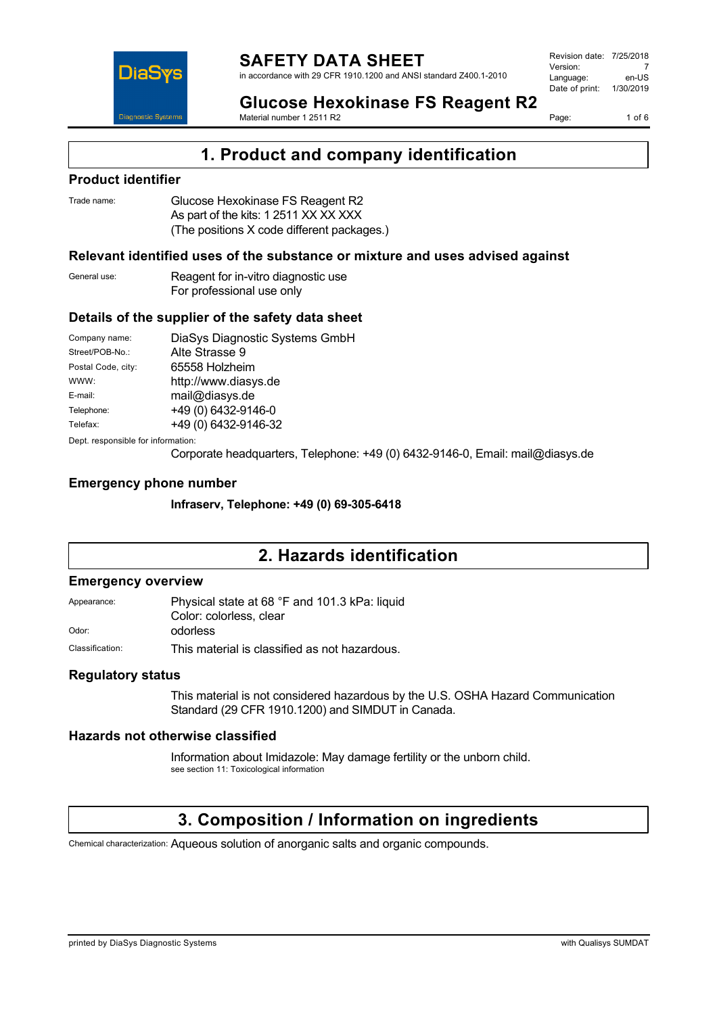

Page: 1 of 6

**Glucose Hexokinase FS Reagent R2** Material number 1 2511 R2

## **1. Product and company identification**

### **Product identifier**

| Trade name: | Glucose Hexokinase FS Reagent R2           |
|-------------|--------------------------------------------|
|             | As part of the kits: 1 2511 XX XX XXX      |
|             | (The positions X code different packages.) |

### **Relevant identified uses of the substance or mixture and uses advised against**

| General use: | Reagent for in-vitro diagnostic use |
|--------------|-------------------------------------|
|              | For professional use only           |

### **Details of the supplier of the safety data sheet**

| Company name:                      | DiaSys Diagnostic Systems GmbH |  |
|------------------------------------|--------------------------------|--|
| Street/POB-No.:                    | Alte Strasse 9                 |  |
| Postal Code, city:                 | 65558 Holzheim                 |  |
| WWW:                               | http://www.diasys.de           |  |
| E-mail:                            | mail@diasys.de                 |  |
| Telephone:                         | +49 (0) 6432-9146-0            |  |
| Telefax:                           | +49 (0) 6432-9146-32           |  |
| Dept. responsible for information: |                                |  |

Corporate headquarters, Telephone: +49 (0) 6432-9146-0, Email: mail@diasys.de

### **Emergency phone number**

**Infraserv, Telephone: +49 (0) 69-305-6418**

### **2. Hazards identification**

#### **Emergency overview**

Appearance: Physical state at 68 °F and 101.3 kPa: liquid Color: colorless, clear Odor: odorless

Classification: This material is classified as not hazardous.

### **Regulatory status**

This material is not considered hazardous by the U.S. OSHA Hazard Communication Standard (29 CFR 1910.1200) and SIMDUT in Canada.

### **Hazards not otherwise classified**

Information about Imidazole: May damage fertility or the unborn child. see section 11: Toxicological information

# **3. Composition / Information on ingredients**

Chemical characterization: Aqueous solution of anorganic salts and organic compounds.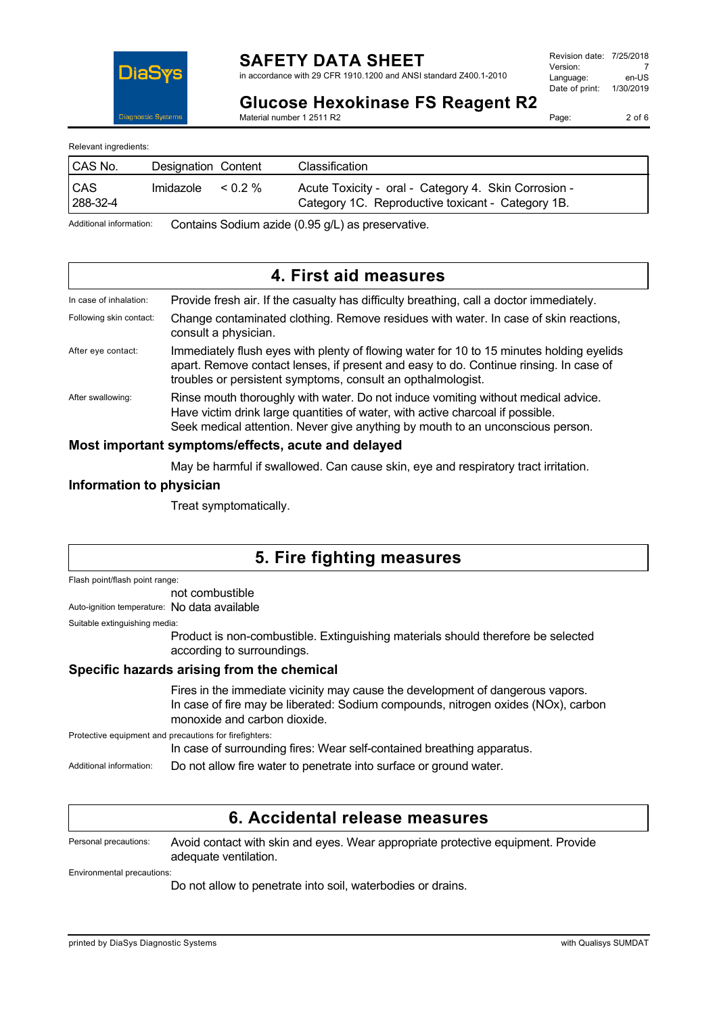

in accordance with 29 CFR 1910.1200 and ANSI standard Z400.1-2010

| Revision date: 7/25/2018 |           |
|--------------------------|-----------|
| Version:                 |           |
| Language:                | en-US     |
| Date of print:           | 1/30/2019 |
|                          |           |

**Glucose Hexokinase FS Reagent R2**

Material number 1 2511 R2

Page: 2 of 6

Relevant ingredients:

| <b>CAS No.</b>             | Designation Content |         | Classification                                                                                            |
|----------------------------|---------------------|---------|-----------------------------------------------------------------------------------------------------------|
| <sub>CAS</sub><br>288-32-4 | Imidazole           | $0.2\%$ | Acute Toxicity - oral - Category 4. Skin Corrosion -<br>Category 1C. Reproductive toxicant - Category 1B. |

Additional information: Contains Sodium azide (0.95 g/L) as preservative.

|                                                    | 4. First aid measures                                                                                                                                                                                                                                 |
|----------------------------------------------------|-------------------------------------------------------------------------------------------------------------------------------------------------------------------------------------------------------------------------------------------------------|
| In case of inhalation:                             | Provide fresh air. If the casualty has difficulty breathing, call a doctor immediately.                                                                                                                                                               |
| Following skin contact:                            | Change contaminated clothing. Remove residues with water. In case of skin reactions,<br>consult a physician.                                                                                                                                          |
| After eye contact:                                 | Immediately flush eyes with plenty of flowing water for 10 to 15 minutes holding eyelids<br>apart. Remove contact lenses, if present and easy to do. Continue rinsing. In case of<br>troubles or persistent symptoms, consult an opthalmologist.      |
| After swallowing:                                  | Rinse mouth thoroughly with water. Do not induce vomiting without medical advice.<br>Have victim drink large quantities of water, with active charcoal if possible.<br>Seek medical attention. Never give anything by mouth to an unconscious person. |
| Most important symptoms/effects, acute and delayed |                                                                                                                                                                                                                                                       |

May be harmful if swallowed. Can cause skin, eye and respiratory tract irritation.

### **Information to physician**

Treat symptomatically.

# **5. Fire fighting measures**

Flash point/flash point range:

not combustible

Auto-ignition temperature: No data available

Suitable extinguishing media:

Product is non-combustible. Extinguishing materials should therefore be selected according to surroundings.

### **Specific hazards arising from the chemical**

Fires in the immediate vicinity may cause the development of dangerous vapors. In case of fire may be liberated: Sodium compounds, nitrogen oxides (NOx), carbon monoxide and carbon dioxide.

Protective equipment and precautions for firefighters:

In case of surrounding fires: Wear self-contained breathing apparatus.

Additional information: Do not allow fire water to penetrate into surface or ground water.

### **6. Accidental release measures**

Personal precautions: Avoid contact with skin and eyes. Wear appropriate protective equipment. Provide adequate ventilation.

Environmental precautions:

Do not allow to penetrate into soil, waterbodies or drains.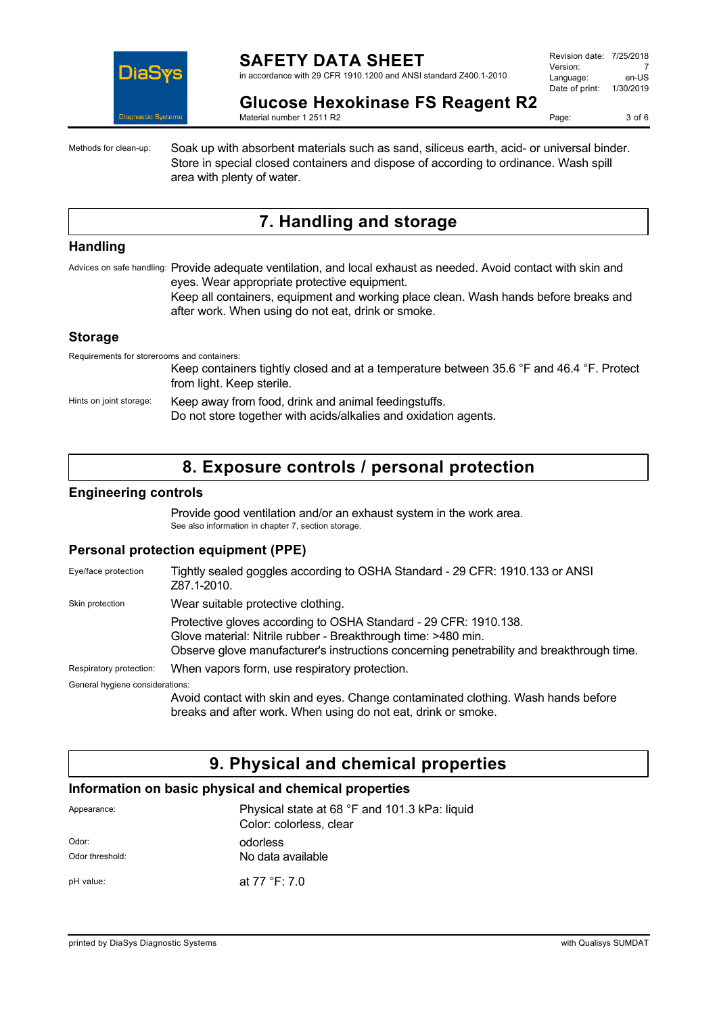

in accordance with 29 CFR 1910.1200 and ANSI standard Z400.1-2010

| Revision date: 7/25/2018 |           |
|--------------------------|-----------|
| Version:                 |           |
| Language:                | en-US     |
| Date of print:           | 1/30/2019 |
|                          |           |

**Glucose Hexokinase FS Reagent R2**

Material number 1 2511 R2

Page: 3 of 6

Methods for clean-up: Soak up with absorbent materials such as sand, siliceus earth, acid- or universal binder. Store in special closed containers and dispose of according to ordinance. Wash spill area with plenty of water.

# **7. Handling and storage**

#### **Handling**

Advices on safe handling: Provide adequate ventilation, and local exhaust as needed. Avoid contact with skin and eyes. Wear appropriate protective equipment.

Keep all containers, equipment and working place clean. Wash hands before breaks and after work. When using do not eat, drink or smoke.

#### **Storage**

Requirements for storerooms and containers: Keep containers tightly closed and at a temperature between 35.6 °F and 46.4 °F. Protect from light. Keep sterile. Hints on joint storage: Keep away from food, drink and animal feedingstuffs. Do not store together with acids/alkalies and oxidation agents.

### **8. Exposure controls / personal protection**

### **Engineering controls**

Provide good ventilation and/or an exhaust system in the work area. See also information in chapter 7, section storage.

### **Personal protection equipment (PPE)**

| Eye/face protection             | Tightly sealed goggles according to OSHA Standard - 29 CFR: 1910.133 or ANSI<br>Z87.1-2010.                                                                                                                                    |
|---------------------------------|--------------------------------------------------------------------------------------------------------------------------------------------------------------------------------------------------------------------------------|
| Skin protection                 | Wear suitable protective clothing.                                                                                                                                                                                             |
|                                 | Protective gloves according to OSHA Standard - 29 CFR: 1910.138.<br>Glove material: Nitrile rubber - Breakthrough time: >480 min.<br>Observe glove manufacturer's instructions concerning penetrability and breakthrough time. |
| Respiratory protection:         | When vapors form, use respiratory protection.                                                                                                                                                                                  |
| General hygiene considerations: |                                                                                                                                                                                                                                |
|                                 | Avoid contact with skin and eyes. Change contaminated clothing. Wash hands before<br>breaks and after work. When using do not eat, drink or smoke.                                                                             |

### **9. Physical and chemical properties**

### **Information on basic physical and chemical properties**

| Appearance:              | Physical state at 68 °F and 101.3 kPa: liquid<br>Color: colorless, clear |
|--------------------------|--------------------------------------------------------------------------|
| Odor:<br>Odor threshold: | odorless<br>No data available                                            |
| pH value:                | at 77 °F: 7.0                                                            |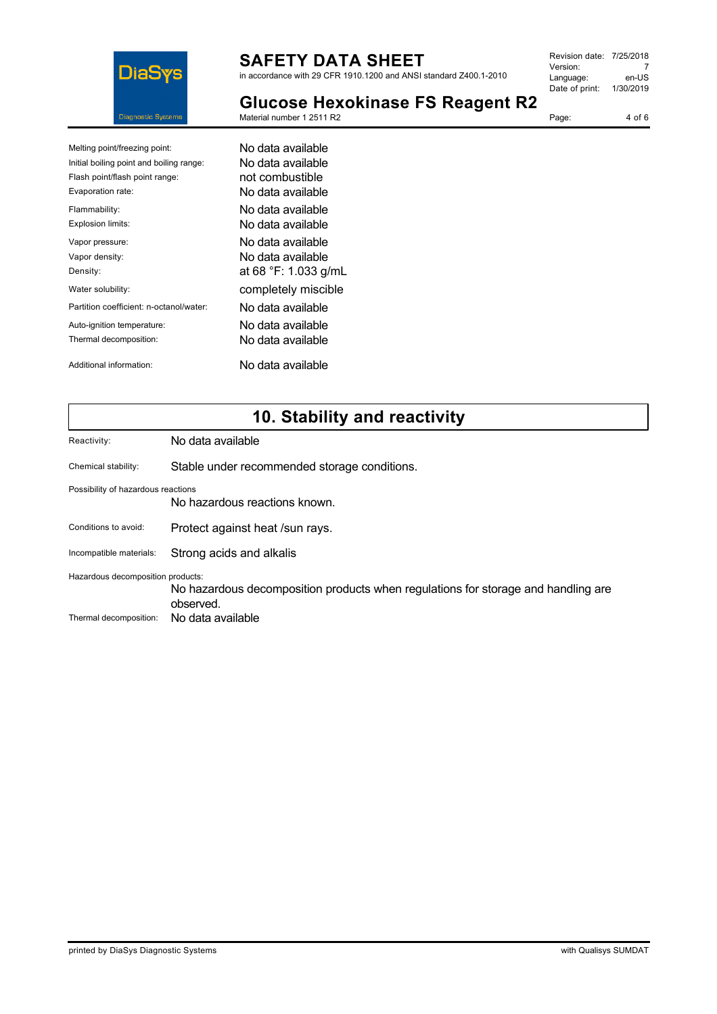

in accordance with 29 CFR 1910.1200 and ANSI standard Z400.1-2010

| Revision date: 7/25/2018 |           |
|--------------------------|-----------|
| Version:                 |           |
| Language:                | en-US     |
| Date of print:           | 1/30/2019 |
|                          |           |

Page: 4 of 6

**Glucose Hexokinase FS Reagent R2**

| Melting point/freezing point:            | No data available    |
|------------------------------------------|----------------------|
| Initial boiling point and boiling range: | No data available    |
| Flash point/flash point range:           | not combustible      |
| Evaporation rate:                        | No data available    |
| Flammability:                            | No data available    |
| Explosion limits:                        | No data available    |
| Vapor pressure:                          | No data available    |
| Vapor density:                           | No data available    |
| Density:                                 | at 68 °F: 1.033 g/mL |
| Water solubility:                        | completely miscible  |
| Partition coefficient: n-octanol/water:  | No data available    |
| Auto-ignition temperature:               | No data available    |
| Thermal decomposition:                   | No data available    |
| Additional information:                  | No data available    |

# **10. Stability and reactivity**

| Reactivity:                        | No data available                                                                 |  |  |  |
|------------------------------------|-----------------------------------------------------------------------------------|--|--|--|
|                                    |                                                                                   |  |  |  |
| Chemical stability:                | Stable under recommended storage conditions.                                      |  |  |  |
| Possibility of hazardous reactions |                                                                                   |  |  |  |
|                                    | No hazardous reactions known.                                                     |  |  |  |
| Conditions to avoid:               | Protect against heat /sun rays.                                                   |  |  |  |
| Incompatible materials:            | Strong acids and alkalis                                                          |  |  |  |
| Hazardous decomposition products:  |                                                                                   |  |  |  |
|                                    | No hazardous decomposition products when regulations for storage and handling are |  |  |  |
|                                    | observed.                                                                         |  |  |  |
| Thermal decomposition:             | No data available                                                                 |  |  |  |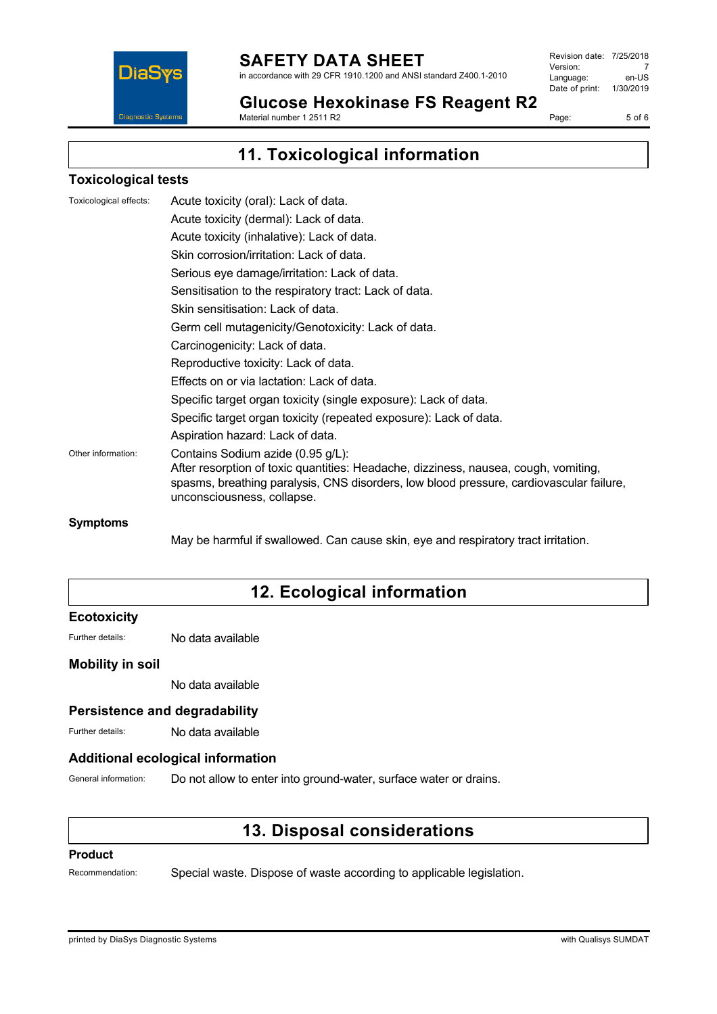

in accordance with 29 CFR 1910.1200 and ANSI standard Z400.1-2010

Revision date: 7/25/2018 Version: 7<br>Language: en-US Language: Date of print: 1/30/2019

**Glucose Hexokinase FS Reagent R2** Material number 1 2511 R2

Page: 5 of 6

# **11. Toxicological information**

### **Toxicological tests**

| Toxicological effects: | Acute toxicity (oral): Lack of data.                                                                                                                                                                                                              |
|------------------------|---------------------------------------------------------------------------------------------------------------------------------------------------------------------------------------------------------------------------------------------------|
|                        | Acute toxicity (dermal): Lack of data.                                                                                                                                                                                                            |
|                        | Acute toxicity (inhalative): Lack of data.                                                                                                                                                                                                        |
|                        | Skin corrosion/irritation: Lack of data.                                                                                                                                                                                                          |
|                        | Serious eye damage/irritation: Lack of data.                                                                                                                                                                                                      |
|                        | Sensitisation to the respiratory tract: Lack of data.                                                                                                                                                                                             |
|                        | Skin sensitisation: Lack of data.                                                                                                                                                                                                                 |
|                        | Germ cell mutagenicity/Genotoxicity: Lack of data.                                                                                                                                                                                                |
|                        | Carcinogenicity: Lack of data.                                                                                                                                                                                                                    |
|                        | Reproductive toxicity: Lack of data.                                                                                                                                                                                                              |
|                        | Effects on or via lactation: Lack of data.                                                                                                                                                                                                        |
|                        | Specific target organ toxicity (single exposure): Lack of data.                                                                                                                                                                                   |
|                        | Specific target organ toxicity (repeated exposure): Lack of data.                                                                                                                                                                                 |
|                        | Aspiration hazard: Lack of data.                                                                                                                                                                                                                  |
| Other information:     | Contains Sodium azide (0.95 g/L):<br>After resorption of toxic quantities: Headache, dizziness, nausea, cough, vomiting,<br>spasms, breathing paralysis, CNS disorders, low blood pressure, cardiovascular failure,<br>unconsciousness, collapse. |
| Symptoms               |                                                                                                                                                                                                                                                   |

May be harmful if swallowed. Can cause skin, eye and respiratory tract irritation.

# **12. Ecological information**

### **Ecotoxicity**

Further details: No data available

### **Mobility in soil**

No data available

### **Persistence and degradability**

Further details: No data available

### **Additional ecological information**

General information: Do not allow to enter into ground-water, surface water or drains.

### **13. Disposal considerations**

#### **Product**

Recommendation: Special waste. Dispose of waste according to applicable legislation.